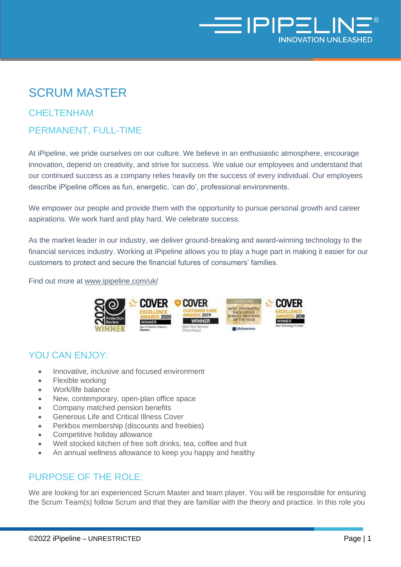

# SCRUM MASTER

# **CHELTENHAM**

## PERMANENT, FULL-TIME

At iPipeline, we pride ourselves on our culture. We believe in an enthusiastic atmosphere, encourage innovation, depend on creativity, and strive for success. We value our employees and understand that our continued success as a company relies heavily on the success of every individual. Our employees describe iPipeline offices as fun, energetic, 'can do', professional environments.

We empower our people and provide them with the opportunity to pursue personal growth and career aspirations. We work hard and play hard. We celebrate success.

As the market leader in our industry, we deliver ground-breaking and award-winning technology to the financial services industry. Working at iPipeline allows you to play a huge part in making it easier for our customers to protect and secure the financial futures of consumers' families.

Find out more at [www.ipipeline.com/uk/](http://www.ipipeline.com/uk/) 



#### YOU CAN ENJOY:

- Innovative, inclusive and focused environment
- Flexible working
- Work/life balance
- New, contemporary, open-plan office space
- Company matched pension benefits
- Generous Life and Critical Illness Cover
- Perkbox membership (discounts and freebies)
- Competitive holiday allowance
- Well stocked kitchen of free soft drinks, tea, coffee and fruit
- An annual wellness allowance to keep you happy and healthy

## PURPOSE OF THE ROLE:

We are looking for an experienced Scrum Master and team player. You will be responsible for ensuring the Scrum Team(s) follow Scrum and that they are familiar with the theory and practice. In this role you